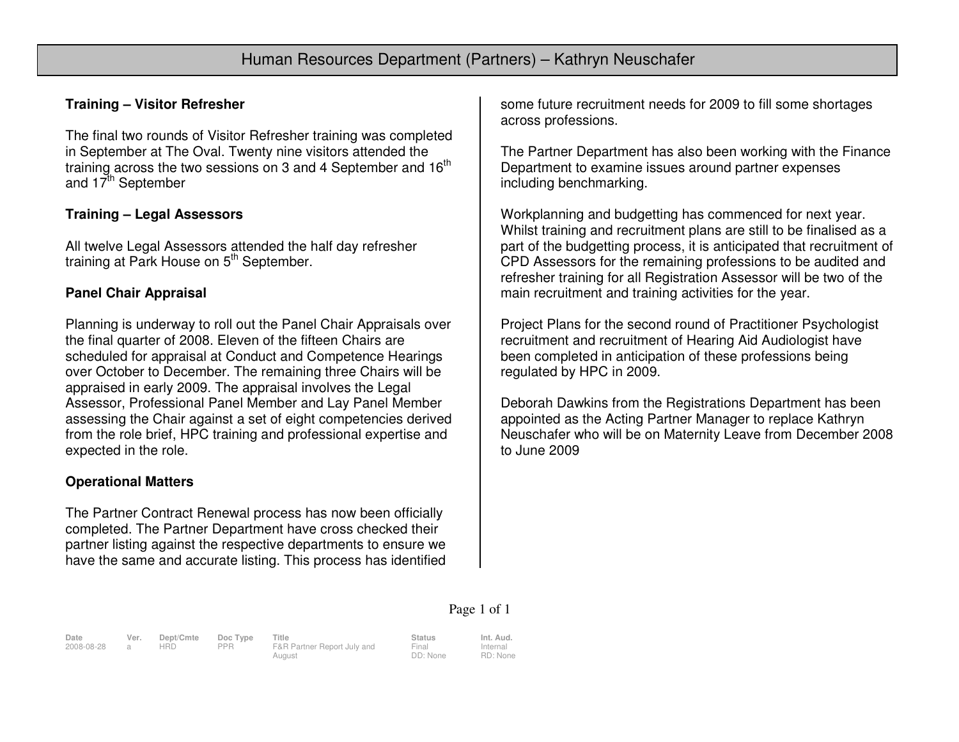### **Training – Visitor Refresher**

The final two rounds of Visitor Refresher training was completed in September at The Oval. Twenty nine visitors attended the training across the two sessions on 3 and 4 September and 16<sup>th</sup> and 17<sup>th</sup> September

#### **Training – Legal Assessors**

All twelve Legal Assessors attended the half day refresher training at Park House on 5<sup>th</sup> September.

# **Panel Chair Appraisal**

Planning is underway to roll out the Panel Chair Appraisals over the final quarter of 2008. Eleven of the fifteen Chairs are scheduled for appraisal at Conduct and Competence Hearings over October to December. The remaining three Chairs will be appraised in early 2009. The appraisal involves the Legal Assessor, Professional Panel Member and Lay Panel Member assessing the Chair against a set of eight competencies derived from the role brief, HPC training and professional expertise and expected in the role.

# **Operational Matters**

The Partner Contract Renewal process has now been officially completed. The Partner Department have cross checked their partner listing against the respective departments to ensure we have the same and accurate listing. This process has identified some future recruitment needs for 2009 to fill some shortages across professions.

The Partner Department has also been working with the Finance Department to examine issues around partner expenses including benchmarking.

Workplanning and budgetting has commenced for next year. Whilst training and recruitment plans are still to be finalised as a part of the budgetting process, it is anticipated that recruitment of CPD Assessors for the remaining professions to be audited and refresher training for all Registration Assessor will be two of the main recruitment and training activities for the year.

Project Plans for the second round of Practitioner Psychologist recruitment and recruitment of Hearing Aid Audiologist have been completed in anticipation of these professions being regulated by HPC in 2009.

Deborah Dawkins from the Registrations Department has been appointed as the Acting Partner Manager to replace Kathryn Neuschafer who will be on Maternity Leave from December 2008 to June 2009

#### Page 1 of 1

**Date Ver. Dept/Cmte Doc Type Title Status Int. Aud.**2008-08-28 a HRD PPR F&R Partner Report July and **August** 

Final DD: None Internal RD: None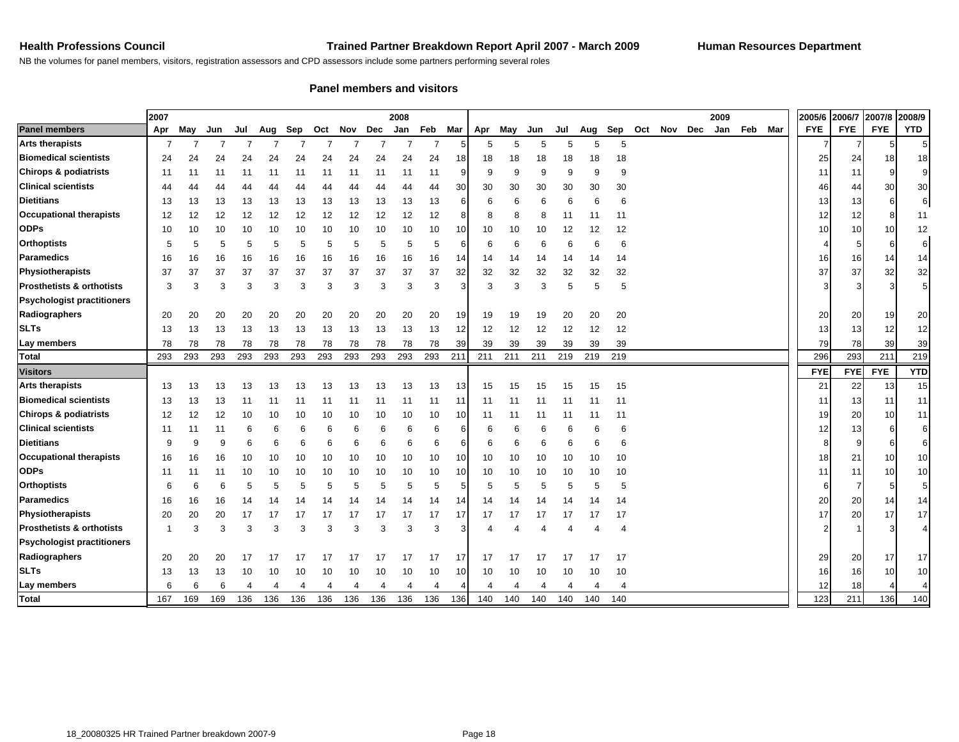NB the volumes for panel members, visitors, registration assessors and CPD assessors include some partners performing several roles

#### **Panel members and visitors**

|                                      | 2007<br>2008 |     |     |     |     |     |     |     |     |     |     |     |     |     |     |     |     |     |     |     | 2009 |     |     | 2005/6 | 2006/7     | 2007/8     | 2008/9     |                |
|--------------------------------------|--------------|-----|-----|-----|-----|-----|-----|-----|-----|-----|-----|-----|-----|-----|-----|-----|-----|-----|-----|-----|------|-----|-----|--------|------------|------------|------------|----------------|
| <b>Panel members</b>                 | Apr          | May | Jun | Jul | Aug | Sep | Oct | Nov | Dec | Jan | Feb | Mar | Apr | May | Jun | Jul | Aug | Sep | Oct | Nov | Dec  | Jan | Feb | Mar    | <b>FYE</b> | <b>FYE</b> | <b>FYE</b> | <b>YTD</b>     |
| <b>Arts therapists</b>               | 7            | 7   |     |     |     |     |     |     |     |     |     |     | 5   | 5   | 5   | 5   | 5   | 5   |     |     |      |     |     |        |            |            | 5          |                |
| <b>Biomedical scientists</b>         | 24           | 24  | 24  | 24  | 24  | 24  | 24  | 24  | 24  | 24  | 24  | 18  | 18  | 18  | 18  | 18  | 18  | 18  |     |     |      |     |     |        | 25         | 24         | 18         | 18             |
| <b>Chirops &amp; podiatrists</b>     | -11          | 11  | 11  | 11  | 11  | 11  | 11  | 11  | 11  | 11  | 11  | 9   | 9   | 9   | 9   | 9   | 9   | 9   |     |     |      |     |     |        | 11         | 11         | 9          | 9              |
| <b>Clinical scientists</b>           | 44           | 44  | 44  | 44  | 44  | 44  | 44  | 44  | 44  | 44  | 44  | 30  | 30  | 30  | 30  | 30  | 30  | 30  |     |     |      |     |     |        | 46         | 44         | 30         | 30             |
| <b>Dietitians</b>                    | 13           | 13  | 13  | 13  | 13  | 13  | 13  | 13  | 13  | 13  | 13  | 6   | 6   | 6   | 6   | 6   | 6   | 6   |     |     |      |     |     |        | 13         | 13         | 6          | 6 <sup>1</sup> |
| <b>Occupational therapists</b>       | 12           | 12  | 12  | 12  | 12  | 12  | 12  | 12  | 12  | 12  | 12  | 8   | 8   | 8   | 8   | 11  | 11  | 11  |     |     |      |     |     |        | 12         | 12         | 8          | 11             |
| <b>ODPs</b>                          | 10           | 10  | 10  | 10  | 10  | 10  | 10  | 10  | 10  | 10  | 10  | 10  | 10  | 10  | 10  | 12  | 12  | 12  |     |     |      |     |     |        | 10         | 10         | 10         | 12             |
| <b>Orthoptists</b>                   | 5            | 5   | 5   | 5   | 5   | 5   | 5   | 5   | 5   | 5   | 5   | 6   | 6   | 6   | 6   | 6   | 6   | 6   |     |     |      |     |     |        |            |            | 6          | 6              |
| Paramedics                           | 16           | 16  | 16  | 16  | 16  | 16  | 16  | 16  | 16  | 16  | 16  | 14  | 14  | 14  | 14  | 14  | -14 | 14  |     |     |      |     |     |        | 16         | 16         | 14         | 14             |
| Physiotherapists                     | 37           | 37  | 37  | 37  | 37  | 37  | 37  | 37  | 37  | 37  | 37  | 32  | 32  | 32  | 32  | 32  | 32  | 32  |     |     |      |     |     |        | 37         | 37         | 32         | 32             |
| <b>Prosthetists &amp; orthotists</b> | 3            | 3   | 3   | 3   | 3   | 3   | 3   | 3   | 3   | 3   | 3   | 3   | 3   | 3   | 3   | 5   | 5   | 5   |     |     |      |     |     |        | Э          |            | 3          | $\overline{5}$ |
| <b>Psychologist practitioners</b>    |              |     |     |     |     |     |     |     |     |     |     |     |     |     |     |     |     |     |     |     |      |     |     |        |            |            |            |                |
| Radiographers                        | 20           | 20  | 20  | 20  | 20  | 20  | 20  | 20  | 20  | 20  | 20  | 19  | 19  | 19  | 19  | 20  | 20  | 20  |     |     |      |     |     |        | 20         | 20         | 19         | 20             |
| <b>SLTs</b>                          | 13           | 13  | 13  | 13  | 13  | 13  | 13  | 13  | 13  | 13  | 13  | 12  | 12  | 12  | 12  | 12  | 12  | 12  |     |     |      |     |     |        | 13         | 13         | 12         | 12             |
| Lay members                          | 78           | 78  | 78  | 78  | 78  | 78  | 78  | 78  | 78  | 78  | 78  | 39  | 39  | 39  | 39  | 39  | 39  | 39  |     |     |      |     |     |        | 79         | 78         | 39         | 39             |
| <b>Total</b>                         | 293          | 293 | 293 | 293 | 293 | 293 | 293 | 293 | 293 | 293 | 293 | 211 | 211 | 211 | 211 | 219 | 219 | 219 |     |     |      |     |     |        | 296        | 293        | 211        | 219            |
| <b>Visitors</b>                      |              |     |     |     |     |     |     |     |     |     |     |     |     |     |     |     |     |     |     |     |      |     |     |        | <b>FYE</b> | <b>FYE</b> | <b>FYE</b> | <b>YTD</b>     |
| <b>Arts therapists</b>               | 13           | 13  | 13  | 13  | 13  | 13  | 13  | 13  | 13  | 13  | 13  | 13  | 15  | 15  | 15  | 15  | 15  | 15  |     |     |      |     |     |        | 21         | 22         | 13         | 15             |
| <b>Biomedical scientists</b>         | 13           | 13  | 13  | 11  | 11  | 11  | 11  | 11  | 11  | 11  | 11  | 11  | 11  | 11  | -11 | 11  | -11 | 11  |     |     |      |     |     |        | 11         | 13         | 11         | 11             |
| <b>Chirops &amp; podiatrists</b>     | 12           | 12  | 12  | 10  | 10  | 10  | 10  | 10  | 10  | 10  | 10  | 10  | 11  | 11  | 11  | 11  | 11  | 11  |     |     |      |     |     |        | 19         | 20         | 10         | 11             |
| <b>Clinical scientists</b>           | 11           | 11  | 11  | 6   | 6   | 6   | 6   | 6   | 6   | 6   | 6   | 6   | 6   | 6   | 6   | 6   | 6   | 6   |     |     |      |     |     |        | 12         | 13         | 6          | 6              |
| <b>Dietitians</b>                    | 9            |     | 9   | 6   | 6   | 6   | 6   | 6   | 6   | 6   | 6   | 6   | 6   | 6   | 6   | 6   | 6   | 6   |     |     |      |     |     |        | 8          |            | 6          | 6              |
| <b>Occupational therapists</b>       | 16           | 16  | 16  | 10  | 10  | 10  | 10  | 10  | 10  | 10  | 10  | 10  | 10  | 10  | 10  | 10  | 10  | 10  |     |     |      |     |     |        | 18         | 21         | 10         | 10             |
| <b>ODPs</b>                          | 11           | 11  | 11  | 10  | 10  | 10  | 10  | 10  | 10  | 10  | 10  | 10  | 10  | 10  | 10  | 10  | 10  | 10  |     |     |      |     |     |        | 11         | 11         | 10         | 10             |
| <b>Orthoptists</b>                   | 6            | 6   | 6   | 5   | 5   | 5   | 5   | 5   | 5   | 5   | 5   | 5   | 5   | 5   | 5   | 5   | 5   | 5   |     |     |      |     |     |        | 6          |            | 5          | 5              |
| Paramedics                           | 16           | 16  | 16  | 14  | 14  | 14  | 14  | 14  | 14  | 14  | 14  | 14  | 14  | 14  | 14  | 14  | 14  | 14  |     |     |      |     |     |        | 20         | 20         | 14         | 14             |
| Physiotherapists                     | 20           | 20  | 20  | 17  | 17  | 17  | 17  | 17  | 17  | 17  | 17  | 17  | 17  | 17  | 17  | 17  | 17  | 17  |     |     |      |     |     |        | 17         | 20         | 17         | 17             |
| <b>Prosthetists &amp; orthotists</b> | -1           | 3   | 3   | 3   | 3   | 3   | 3   | 3   | 3   | 3   | 3   | 3   |     |     |     |     |     | 4   |     |     |      |     |     |        |            |            | 3          |                |
| <b>Psychologist practitioners</b>    |              |     |     |     |     |     |     |     |     |     |     |     |     |     |     |     |     |     |     |     |      |     |     |        |            |            |            |                |
| Radiographers                        | 20           | 20  | 20  | 17  | 17  | 17  |     |     |     | 17  | 17  | 17  | 17  | 17  |     | 17  | 17  | 17  |     |     |      |     |     |        | 29         | 20         | 17         | 17             |
| <b>SLTs</b>                          | 13           | 13  | 13  | 10  | 10  | 10  | 10  | 10  | 10  | 10  | 10  | 10  | 10  | 10  | 10  | 10  | 10  | 10  |     |     |      |     |     |        | 16         | 16         | 10         | 10             |
| Lay members                          | 6            | 6   | 6   |     |     |     |     |     |     |     |     |     |     |     |     |     |     |     |     |     |      |     |     |        | 12         | 18         |            |                |
| <b>Total</b>                         | 167          | 169 | 169 | 136 | 136 | 136 | 136 | 136 | 136 | 136 | 136 | 136 | 140 | 140 | 140 | 140 | 140 | 140 |     |     |      |     |     |        | 123        | 211        | 136        | 140            |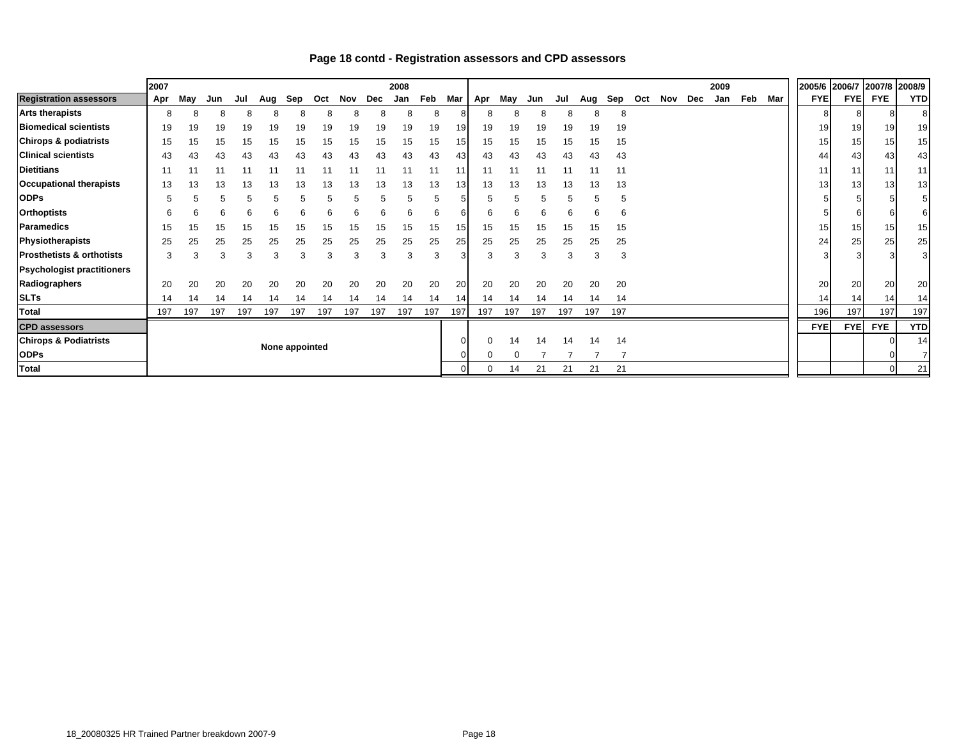|                                      | 2007           |     |     |     |     |     |     |     |     | 2008 |     |                |     |     |     |     |     |     |     |     |     | 2009 |     |     | 2005/6 2006/7   |                 | 2007/8         | 2008/9         |
|--------------------------------------|----------------|-----|-----|-----|-----|-----|-----|-----|-----|------|-----|----------------|-----|-----|-----|-----|-----|-----|-----|-----|-----|------|-----|-----|-----------------|-----------------|----------------|----------------|
| <b>Registration assessors</b>        | Apr            | May | Jun | Jul | Aug | Sep | Oct | Nov | Dec | Jan  | Feb | Mar            | Apr | May | Jun | Jul | Aug | Sep | Oct | Nov | Dec | Jan  | Feb | Mar | <b>FYEI</b>     |                 | <b>FYE FYE</b> | <b>YTD</b>     |
| <b>Arts therapists</b>               | 8              |     |     |     |     |     |     |     |     |      |     |                |     |     |     |     |     | 8   |     |     |     |      |     |     |                 |                 |                |                |
| <b>Biomedical scientists</b>         | 19             | 19  | 19  | 19  | 19  | 19  | 19  | 19  | 19  | 19   | 19  | 19             | 19  | 19  | 19  | 19  | 19  | 19  |     |     |     |      |     |     | 19              | 19              | 19             | 19             |
| <b>Chirops &amp; podiatrists</b>     | 15             | 15  |     | 15  |     |     | 15  |     |     | 15   | 15  | 15             | 15  | 15  | 15  | 15  | 15  | 15  |     |     |     |      |     |     | 15 <sub>1</sub> | 15              | 15             | 15             |
| <b>Clinical scientists</b>           | 43             |     | 43  | 43  | 43  | 43  | 43  | 43  |     | 43   | 43  | 431            | 43  | 43  | 43  | 43  | 43  | 43  |     |     |     |      |     |     | 44              | 43 <sub>l</sub> | 43             | 43             |
| <b>Dietitians</b>                    | 11             |     |     |     |     |     |     |     |     |      |     | 11             |     |     |     |     |     | 11  |     |     |     |      |     |     | 11 <sub>1</sub> | 11              | 11             | 11             |
| <b>Occupational therapists</b>       | 13             | 13  | 13  | 13  |     | 13  | 13  |     | 13  | 13   | 13  | 13             | 13  | 13  | 13  | 13  | 13  | 13  |     |     |     |      |     |     | 13 <sub>l</sub> | 13              | 13             | 13             |
| <b>ODPs</b>                          | 5              |     |     |     |     |     |     |     |     |      |     |                |     |     |     |     | 5   | 5   |     |     |     |      |     |     |                 |                 |                |                |
| <b>Orthoptists</b>                   | 6              | 6   |     | 6   | 6   | 6   |     |     | 6   | 6    | 6   | 6              | 6   | 6   | 6   |     | 6   | 6   |     |     |     |      |     |     |                 |                 | 6              | 6              |
| Paramedics                           | 15             | 15  | 15  | 15  | ۱5  | 15  | 15  | 15  | 15  | 15   | 15  | 151            | 15  | 15  | 15  | 15  | 15  | 15  |     |     |     |      |     |     | 15              | 15              | 15             | 15             |
| Physiotherapists                     | 25             | 25  | 25  | 25  | 25  | 25  | 25  | 25  | 25  | 25   | 25  | 25             | 25  | 25  | 25  | 25  | 25  | 25  |     |     |     |      |     |     | 24              | 25              | 25             | 25             |
| <b>Prosthetists &amp; orthotists</b> | 3              | З   | 3   | 3   | 3   | 3   | 3   | 3   | 3   | 3    | 3   | 3              | 3   | 3   | 3   |     | 3   | 3   |     |     |     |      |     |     |                 |                 | 3              | $\overline{3}$ |
| <b>Psychologist practitioners</b>    |                |     |     |     |     |     |     |     |     |      |     |                |     |     |     |     |     |     |     |     |     |      |     |     |                 |                 |                |                |
| Radiographers                        | 20             | 20  | 20  | 20  | 20  | 20  | 20  | 20  | 20  | 20   | 20  | 20             | 20  | 20  | 20  | 20  | 20  | 20  |     |     |     |      |     |     | 20              | 20              | 20             | 20             |
| <b>SLTs</b>                          | 14             | 14  |     | 14  |     | 14  | 14  | 14  | 14  | 14   | 14  | 14             | 14  | 14  | 14  | 14  | 14  | 14  |     |     |     |      |     |     | 14 <sub>1</sub> | 14              | 14             | 14             |
| Total                                | 197            | 197 | 197 | 197 | 197 | 197 | 197 | 197 | 197 | 197  | 197 | 197            | 197 | 197 | 197 | 197 | 197 | 197 |     |     |     |      |     |     | 196             | 197             | 197            | 197            |
| <b>CPD</b> assessors                 |                |     |     |     |     |     |     |     |     |      |     |                |     |     |     |     |     |     |     |     |     |      |     |     | <b>FYE</b>      | <b>FYE</b>      | <b>FYE</b>     | <b>YTD</b>     |
| <b>Chirops &amp; Podiatrists</b>     | None appointed |     |     |     |     |     |     |     |     |      |     | $\overline{0}$ |     | 14  | 14  | 14  | 14  | 14  |     |     |     |      |     |     |                 |                 |                | 14             |
| <b>ODPs</b>                          |                |     |     |     |     |     |     |     |     |      |     | 0              |     |     |     |     |     |     |     |     |     |      |     |     |                 |                 |                |                |
| <b>Total</b>                         |                |     |     |     |     |     |     |     |     |      |     |                |     | 14  | 21  | 21  | 21  | 21  |     |     |     |      |     |     |                 |                 | $\Omega$       | 21             |

#### **Page 18 contd - Registration assessors and CPD assessors**